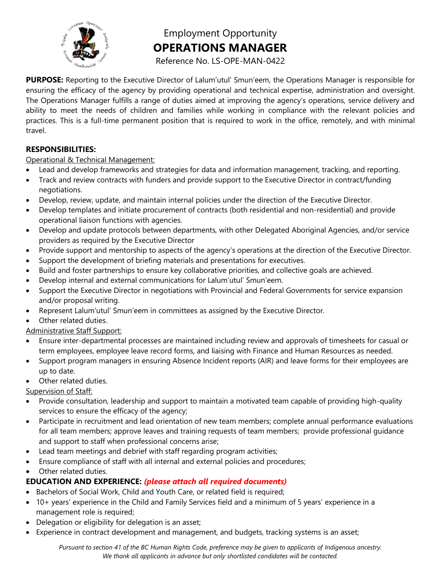

Employment Opportunity **OPERATIONS MANAGER**

Reference No. LS-OPE-MAN-0422

**PURPOSE:** Reporting to the Executive Director of Lalum'utul' Smun'eem, the Operations Manager is responsible for ensuring the efficacy of the agency by providing operational and technical expertise, administration and oversight. The Operations Manager fulfills a range of duties aimed at improving the agency's operations, service delivery and ability to meet the needs of children and families while working in compliance with the relevant policies and practices. This is a full-time permanent position that is required to work in the office, remotely, and with minimal travel.

### **RESPONSIBILITIES:**

### Operational & Technical Management:

- Lead and develop frameworks and strategies for data and information management, tracking, and reporting.
- Track and review contracts with funders and provide support to the Executive Director in contract/funding negotiations.
- Develop, review, update, and maintain internal policies under the direction of the Executive Director.
- Develop templates and initiate procurement of contracts (both residential and non-residential) and provide operational liaison functions with agencies.
- Develop and update protocols between departments, with other Delegated Aboriginal Agencies, and/or service providers as required by the Executive Director
- Provide support and mentorship to aspects of the agency's operations at the direction of the Executive Director.
- Support the development of briefing materials and presentations for executives.
- Build and foster partnerships to ensure key collaborative priorities, and collective goals are achieved.
- Develop internal and external communications for Lalum'utul' Smun'eem.
- Support the Executive Director in negotiations with Provincial and Federal Governments for service expansion and/or proposal writing.
- Represent Lalum'utul' Smun'eem in committees as assigned by the Executive Director.
- Other related duties.
- Administrative Staff Support:
- Ensure inter-departmental processes are maintained including review and approvals of timesheets for casual or term employees, employee leave record forms, and liaising with Finance and Human Resources as needed.
- Support program managers in ensuring Absence Incident reports (AIR) and leave forms for their employees are up to date.
- Other related duties.
- Supervision of Staff:
- Provide consultation, leadership and support to maintain a motivated team capable of providing high-quality services to ensure the efficacy of the agency;
- Participate in recruitment and lead orientation of new team members; complete annual performance evaluations for all team members; approve leaves and training requests of team members; provide professional guidance and support to staff when professional concerns arise;
- Lead team meetings and debrief with staff regarding program activities;
- Ensure compliance of staff with all internal and external policies and procedures;
- Other related duties.

# **EDUCATION AND EXPERIENCE:** *(please attach all required documents)*

- Bachelors of Social Work, Child and Youth Care, or related field is required;
- 10+ years' experience in the Child and Family Services field and a minimum of 5 years' experience in a management role is required;
- Delegation or eligibility for delegation is an asset;
- Experience in contract development and management, and budgets, tracking systems is an asset;